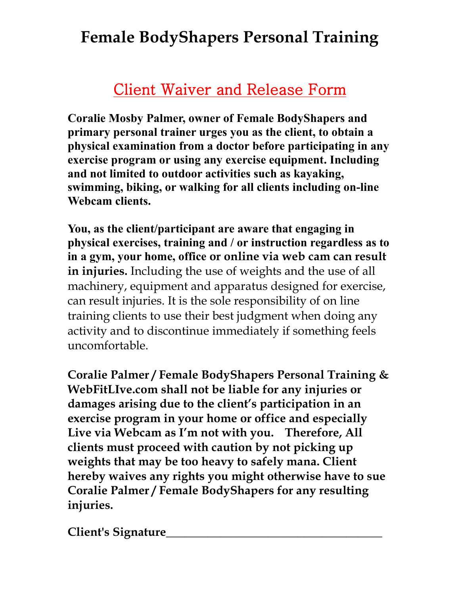## **Female BodyShapers Personal Training**

## Client Waiver and Release Form

**Coralie Mosby Palmer, owner of Female BodyShapers and primary personal trainer urges you as the client, to obtain a physical examination from a doctor before participating in any exercise program or using any exercise equipment. Including and not limited to outdoor activities such as kayaking, swimming, biking, or walking for all clients including on-line Webcam clients.**

**You, as the client/participant are aware that engaging in physical exercises, training and / or instruction regardless as to in a gym, your home, office or online via web cam can result in injuries.** Including the use of weights and the use of all machinery, equipment and apparatus designed for exercise, can result injuries. It is the sole responsibility of on line training clients to use their best judgment when doing any activity and to discontinue immediately if something feels uncomfortable.

**Coralie Palmer / Female BodyShapers Personal Training & WebFitLIve.com shall not be liable for any injuries or damages arising due to the client's participation in an exercise program in your home or office and especially Live via Webcam as I'm not with you. Therefore, All clients must proceed with caution by not picking up weights that may be too heavy to safely mana. Client hereby waives any rights you might otherwise have to sue Coralie Palmer / Female BodyShapers for any resulting injuries.**

**Client's Signature\_\_\_\_\_\_\_\_\_\_\_\_\_\_\_\_\_\_\_\_\_\_\_\_\_\_\_\_\_\_\_\_\_\_\_\_**